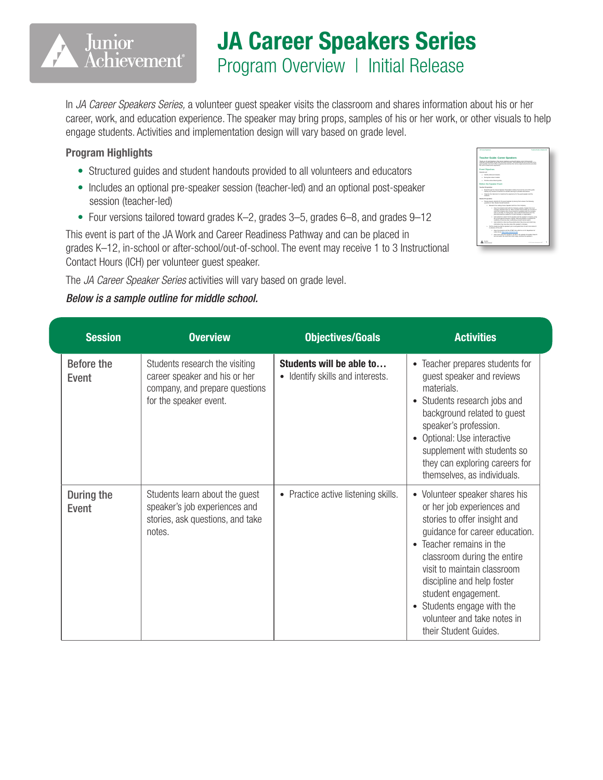## JA Career Speakers Series Program Overview | Initial Release

In *JA Career Speakers Series,* a volunteer guest speaker visits the classroom and shares information about his or her career, work, and education experience. The speaker may bring props, samples of his or her work, or other visuals to help engage students. Activities and implementation design will vary based on grade level.

## Program Highlights

- Structured guides and student handouts provided to all volunteers and educators
- Includes an optional pre-speaker session (teacher-led) and an optional post-speaker session (teacher-led)
- Four versions tailored toward grades K–2, grades 3–5, grades 6–8, and grades 9–12

This event is part of the JA Work and Career Readiness Pathway and can be placed in grades K–12, in-school or after-school/out-of-school. The event may receive 1 to 3 Instructional Contact Hours (ICH) per volunteer guest speaker.

The *JA Career Speaker Series* activities will vary based on grade level.

## *Below is a sample outline for middle school.*

| <b>Session</b>      | <b>Overview</b>                                                                                                             | <b>Objectives/Goals</b>                                      | <b>Activities</b>                                                                                                                                                                                                                                                                                                                                                                         |
|---------------------|-----------------------------------------------------------------------------------------------------------------------------|--------------------------------------------------------------|-------------------------------------------------------------------------------------------------------------------------------------------------------------------------------------------------------------------------------------------------------------------------------------------------------------------------------------------------------------------------------------------|
| Before the<br>Event | Students research the visiting<br>career speaker and his or her<br>company, and prepare questions<br>for the speaker event. | Students will be able to<br>• Identify skills and interests. | • Teacher prepares students for<br>guest speaker and reviews<br>materials.<br>Students research jobs and<br>$\bullet$<br>background related to guest<br>speaker's profession.<br>Optional: Use interactive<br>supplement with students so<br>they can exploring careers for<br>themselves, as individuals.                                                                                |
| During the<br>Event | Students learn about the guest<br>speaker's job experiences and<br>stories, ask questions, and take<br>notes.               | • Practice active listening skills.                          | • Volunteer speaker shares his<br>or her job experiences and<br>stories to offer insight and<br>guidance for career education.<br>Teacher remains in the<br>$\bullet$<br>classroom during the entire<br>visit to maintain classroom<br>discipline and help foster<br>student engagement.<br>Students engage with the<br>$\bullet$<br>volunteer and take notes in<br>their Student Guides. |

| <b>JA Gener Roseberg</b>                                                                                                                                                                                                                                                                                                         | Teacher Guide I Grades Ad                                                                                                                                                                                                                                                                                                                                              |  |  |  |  |
|----------------------------------------------------------------------------------------------------------------------------------------------------------------------------------------------------------------------------------------------------------------------------------------------------------------------------------|------------------------------------------------------------------------------------------------------------------------------------------------------------------------------------------------------------------------------------------------------------------------------------------------------------------------------------------------------------------------|--|--|--|--|
|                                                                                                                                                                                                                                                                                                                                  | <b>Teacher Guide: Career Speakers</b>                                                                                                                                                                                                                                                                                                                                  |  |  |  |  |
| Thank you for earlickating in this samer readings event and helping Junior Advisorment<br>employer usuals sends to our that expressions you can. This suite wrote as an exercise of the<br>event woulder more and offers supplemental activities that can be instangular indices and after<br>the shifts enhance the experience. |                                                                                                                                                                                                                                                                                                                                                                        |  |  |  |  |
| <b>Event Objectives</b>                                                                                                                                                                                                                                                                                                          |                                                                                                                                                                                                                                                                                                                                                                        |  |  |  |  |
| <b>Electronical</b>                                                                                                                                                                                                                                                                                                              |                                                                                                                                                                                                                                                                                                                                                                        |  |  |  |  |
| a linkedly style and interests.                                                                                                                                                                                                                                                                                                  |                                                                                                                                                                                                                                                                                                                                                                        |  |  |  |  |
| 1 Percentage server students                                                                                                                                                                                                                                                                                                     |                                                                                                                                                                                                                                                                                                                                                                        |  |  |  |  |
| 1 Puedes artist Interimination                                                                                                                                                                                                                                                                                                   |                                                                                                                                                                                                                                                                                                                                                                        |  |  |  |  |
| Before the Speaker Dyant                                                                                                                                                                                                                                                                                                         |                                                                                                                                                                                                                                                                                                                                                                        |  |  |  |  |
| Taxaber Preservices                                                                                                                                                                                                                                                                                                              |                                                                                                                                                                                                                                                                                                                                                                        |  |  |  |  |
|                                                                                                                                                                                                                                                                                                                                  | 1 Real Preside the Camer Senator Presentation Cultive found at the end of this matter.<br>blamify any relevant commercians to shatern learning for excellent discussions.                                                                                                                                                                                              |  |  |  |  |
| state to:                                                                                                                                                                                                                                                                                                                        | 1 Creative the classroom to maximize the association for the mond socialer and the                                                                                                                                                                                                                                                                                     |  |  |  |  |
| <b>Electron Presentation</b>                                                                                                                                                                                                                                                                                                     |                                                                                                                                                                                                                                                                                                                                                                        |  |  |  |  |
|                                                                                                                                                                                                                                                                                                                                  | 1 Pages around shakers for the mand senator by having them around the following<br>suppliers in their Diutent Quide handsuits                                                                                                                                                                                                                                          |  |  |  |  |
|                                                                                                                                                                                                                                                                                                                                  | a. Research the clutting Camer Senator and his or her company.                                                                                                                                                                                                                                                                                                         |  |  |  |  |
|                                                                                                                                                                                                                                                                                                                                  | . New the students start with the Company website. Eastern that most<br>company seeks less have an "Alena" sendon that environ an everytex of<br>what that company stops. Have shadents incestingly what the company.<br>sals or provides, in small erours, have students brainshere all of the<br>inter, that small his needed to non-hall company or or searchafter. |  |  |  |  |
|                                                                                                                                                                                                                                                                                                                                  | . Ask students is search for the season and the season's company using<br>the subscriptors and search amalogs. Family disclamb to available the<br>explicitly of any cars when comparing a broad internal search.                                                                                                                                                      |  |  |  |  |
| ٠                                                                                                                                                                                                                                                                                                                                | And solutions in interview three adults where they lesse and collect any<br>information they may have alread the sensitor's company.                                                                                                                                                                                                                                   |  |  |  |  |
| a. Tell the students what the senator's job is and make them to learn more about it.                                                                                                                                                                                                                                             |                                                                                                                                                                                                                                                                                                                                                                        |  |  |  |  |
|                                                                                                                                                                                                                                                                                                                                  | in which were not then when<br>. New the students visit the C/NET site, which is a U.S. Despite antial                                                                                                                                                                                                                                                                 |  |  |  |  |
|                                                                                                                                                                                                                                                                                                                                  | Labor site at hims force craterize and                                                                                                                                                                                                                                                                                                                                 |  |  |  |  |
|                                                                                                                                                                                                                                                                                                                                  | . New here sizes he seeker's isk life in the weight Convenier Easesh<br>har and salest the result that most streaty matches the sociator's.                                                                                                                                                                                                                            |  |  |  |  |
|                                                                                                                                                                                                                                                                                                                                  |                                                                                                                                                                                                                                                                                                                                                                        |  |  |  |  |